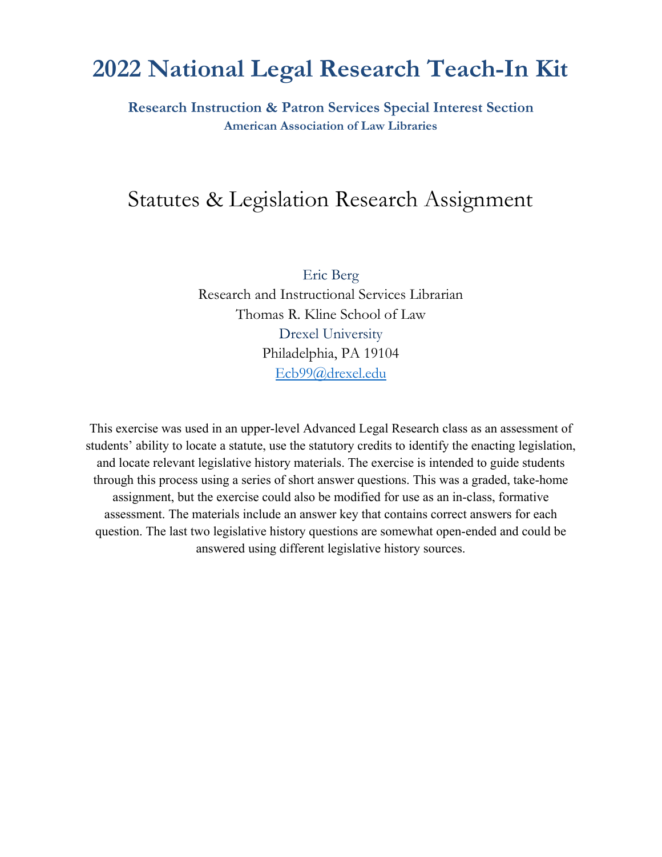# **2022 National Legal Research Teach-In Kit**

**Research Instruction & Patron Services Special Interest Section American Association of Law Libraries**

## Statutes & Legislation Research Assignment

Eric Berg Research and Instructional Services Librarian Thomas R. Kline School of Law Drexel University Philadelphia, PA 19104 [Ecb99@drexel.edu](mailto:Ecb99@drexel.edu)

This exercise was used in an upper-level Advanced Legal Research class as an assessment of students' ability to locate a statute, use the statutory credits to identify the enacting legislation, and locate relevant legislative history materials. The exercise is intended to guide students through this process using a series of short answer questions. This was a graded, take-home assignment, but the exercise could also be modified for use as an in-class, formative assessment. The materials include an answer key that contains correct answers for each question. The last two legislative history questions are somewhat open-ended and could be answered using different legislative history sources.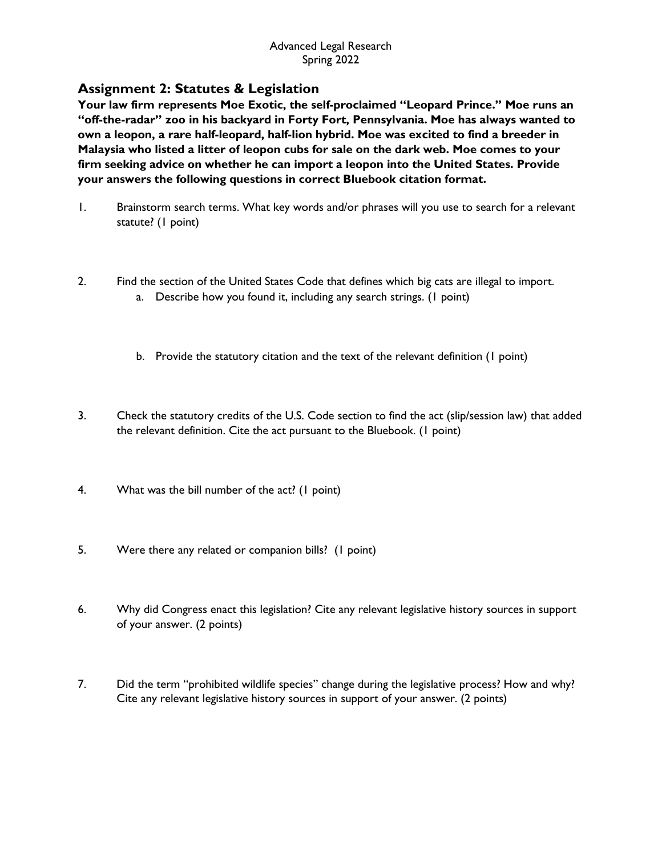## **Assignment 2: Statutes & Legislation**

**Your law firm represents Moe Exotic, the self-proclaimed "Leopard Prince." Moe runs an "off-the-radar" zoo in his backyard in Forty Fort, Pennsylvania. Moe has always wanted to own a leopon, a rare half-leopard, half-lion hybrid. Moe was excited to find a breeder in Malaysia who listed a litter of leopon cubs for sale on the dark web. Moe comes to your firm seeking advice on whether he can import a leopon into the United States. Provide your answers the following questions in correct Bluebook citation format.**

- 1. Brainstorm search terms. What key words and/or phrases will you use to search for a relevant statute? (1 point)
- 2. Find the section of the United States Code that defines which big cats are illegal to import. a. Describe how you found it, including any search strings. (1 point)
	- b. Provide the statutory citation and the text of the relevant definition (1 point)
- 3. Check the statutory credits of the U.S. Code section to find the act (slip/session law) that added the relevant definition. Cite the act pursuant to the Bluebook. (1 point)
- 4. What was the bill number of the act? (1 point)
- 5. Were there any related or companion bills? (1 point)
- 6. Why did Congress enact this legislation? Cite any relevant legislative history sources in support of your answer. (2 points)
- 7. Did the term "prohibited wildlife species" change during the legislative process? How and why? Cite any relevant legislative history sources in support of your answer. (2 points)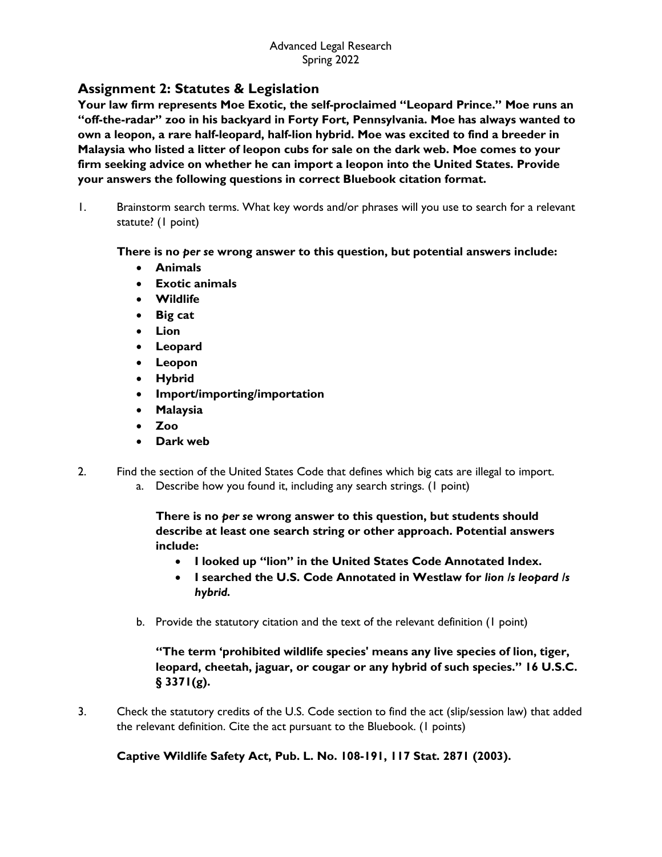## **Assignment 2: Statutes & Legislation**

**Your law firm represents Moe Exotic, the self-proclaimed "Leopard Prince." Moe runs an "off-the-radar" zoo in his backyard in Forty Fort, Pennsylvania. Moe has always wanted to own a leopon, a rare half-leopard, half-lion hybrid. Moe was excited to find a breeder in Malaysia who listed a litter of leopon cubs for sale on the dark web. Moe comes to your firm seeking advice on whether he can import a leopon into the United States. Provide your answers the following questions in correct Bluebook citation format.**

1. Brainstorm search terms. What key words and/or phrases will you use to search for a relevant statute? (1 point)

#### **There is no** *per se* **wrong answer to this question, but potential answers include:**

- **Animals**
- **Exotic animals**
- **Wildlife**
- **Big cat**
- **Lion**
- **Leopard**
- **Leopon**
- **Hybrid**
- **Import/importing/importation**
- **Malaysia**
- **Zoo**
- **Dark web**
- 2. Find the section of the United States Code that defines which big cats are illegal to import.
	- a. Describe how you found it, including any search strings. (1 point)

**There is no** *per se* **wrong answer to this question, but students should describe at least one search string or other approach. Potential answers include:**

- **I looked up "lion" in the United States Code Annotated Index.**
- **I searched the U.S. Code Annotated in Westlaw for** *lion /s leopard /s hybrid.*
- b. Provide the statutory citation and the text of the relevant definition (1 point)

## **"The term 'prohibited wildlife species' means any live species of lion, tiger, leopard, cheetah, jaguar, or cougar or any hybrid of such species." 16 U.S.C. § 3371(g).**

3. Check the statutory credits of the U.S. Code section to find the act (slip/session law) that added the relevant definition. Cite the act pursuant to the Bluebook. (1 points)

## **Captive Wildlife Safety Act, Pub. L. No. 108-191, 117 Stat. 2871 (2003).**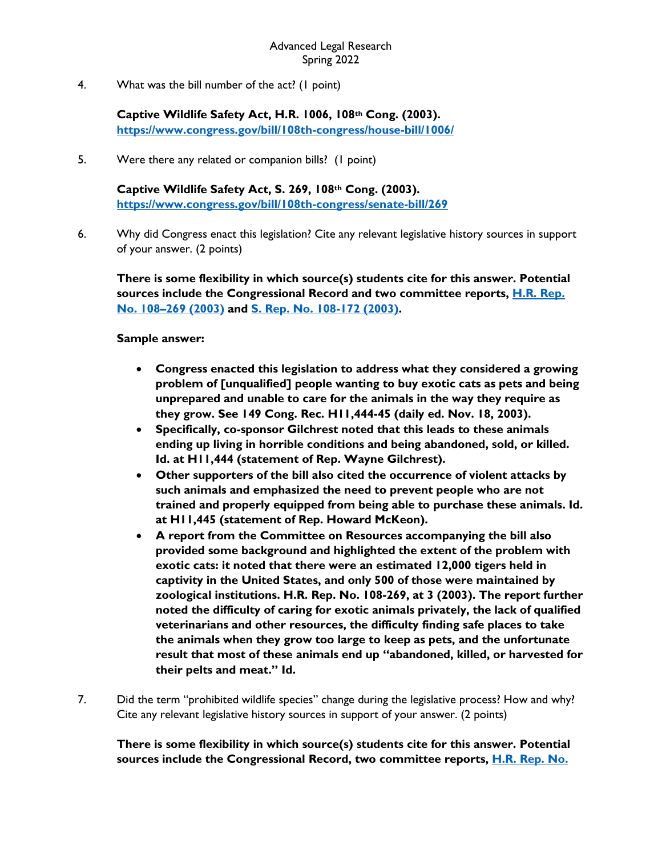4. What was the bill number of the act? (1 point)

**Captive Wildlife Safety Act, H.R. 1006, 108th Cong. (2003). <https://www.congress.gov/bill/108th-congress/house-bill/1006/>**

5. Were there any related or companion bills? (1 point)

**Captive Wildlife Safety Act, S. 269, 108th Cong. (2003). <https://www.congress.gov/bill/108th-congress/senate-bill/269>**

6. Why did Congress enact this legislation? Cite any relevant legislative history sources in support of your answer. (2 points)

**There is some flexibility in which source(s) students cite for this answer. Potential sources include the Congressional Record and two committee reports, [H.R. Rep.](https://www.congress.gov/108/crpt/hrpt269/CRPT-108hrpt269.pdf)  [No. 108–269](https://www.congress.gov/108/crpt/hrpt269/CRPT-108hrpt269.pdf) (2003) and [S. Rep. No. 108-172 \(2003\).](https://www.congress.gov/108/crpt/srpt172/CRPT-108srpt172.pdf)** 

#### **Sample answer:**

- **Congress enacted this legislation to address what they considered a growing problem of [unqualified] people wanting to buy exotic cats as pets and being unprepared and unable to care for the animals in the way they require as they grow. See 149 Cong. Rec. H11,444-45 (daily ed. Nov. 18, 2003).**
- **Specifically, co-sponsor Gilchrest noted that this leads to these animals ending up living in horrible conditions and being abandoned, sold, or killed. Id. at H11,444 (statement of Rep. Wayne Gilchrest).**
- **Other supporters of the bill also cited the occurrence of violent attacks by such animals and emphasized the need to prevent people who are not trained and properly equipped from being able to purchase these animals. Id. at H11,445 (statement of Rep. Howard McKeon).**
- **A report from the Committee on Resources accompanying the bill also provided some background and highlighted the extent of the problem with exotic cats: it noted that there were an estimated 12,000 tigers held in captivity in the United States, and only 500 of those were maintained by zoological institutions. H.R. Rep. No. 108-269, at 3 (2003). The report further noted the difficulty of caring for exotic animals privately, the lack of qualified veterinarians and other resources, the difficulty finding safe places to take the animals when they grow too large to keep as pets, and the unfortunate result that most of these animals end up "abandoned, killed, or harvested for their pelts and meat." Id.**
- 7. Did the term "prohibited wildlife species" change during the legislative process? How and why? Cite any relevant legislative history sources in support of your answer. (2 points)

**There is some flexibility in which source(s) students cite for this answer. Potential sources include the Congressional Record, two committee reports, [H.R. Rep. No.](https://www.congress.gov/108/crpt/hrpt269/CRPT-108hrpt269.pdf)**